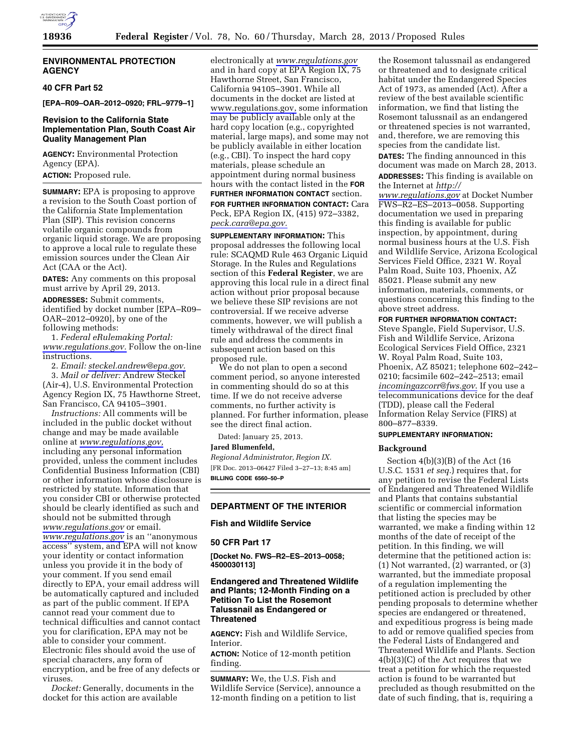

# **ENVIRONMENTAL PROTECTION AGENCY**

# **40 CFR Part 52**

**[EPA–R09–OAR–2012–0920; FRL–9779–1]** 

# **Revision to the California State Implementation Plan, South Coast Air Quality Management Plan**

**AGENCY:** Environmental Protection Agency (EPA).

**ACTION:** Proposed rule.

**SUMMARY:** EPA is proposing to approve a revision to the South Coast portion of the California State Implementation Plan (SIP). This revision concerns volatile organic compounds from organic liquid storage. We are proposing to approve a local rule to regulate these emission sources under the Clean Air Act (CAA or the Act).

**DATES:** Any comments on this proposal must arrive by April 29, 2013.

**ADDRESSES:** Submit comments, identified by docket number [EPA–R09– OAR–2012–0920], by one of the following methods:

1. *Federal eRulemaking Portal: [www.regulations.gov.](http://www.regulations.gov)* Follow the on-line instructions.

2. *Email: [steckel.andrew@epa.gov.](mailto:steckel.andrew@epa.gov)* 

3. *Mail or deliver:* Andrew Steckel (Air-4), U.S. Environmental Protection Agency Region IX, 75 Hawthorne Street, San Francisco, CA 94105–3901.

*Instructions:* All comments will be included in the public docket without change and may be made available online at *[www.regulations.gov,](http://www.regulations.gov)*  including any personal information provided, unless the comment includes Confidential Business Information (CBI) or other information whose disclosure is restricted by statute. Information that you consider CBI or otherwise protected should be clearly identified as such and should not be submitted through *[www.regulations.gov](http://www.regulations.gov)* or email. *[www.regulations.gov](http://www.regulations.gov)* is an ''anonymous access'' system, and EPA will not know your identity or contact information unless you provide it in the body of your comment. If you send email directly to EPA, your email address will be automatically captured and included as part of the public comment. If EPA cannot read your comment due to technical difficulties and cannot contact you for clarification, EPA may not be able to consider your comment. Electronic files should avoid the use of special characters, any form of encryption, and be free of any defects or viruses.

*Docket:* Generally, documents in the docket for this action are available

electronically at *[www.regulations.gov](http://www.regulations.gov)*  and in hard copy at EPA Region IX, 75 Hawthorne Street, San Francisco, California 94105–3901. While all documents in the docket are listed at [www.regulations.gov,](http://www.regulations.gov) some information may be publicly available only at the hard copy location (e.g., copyrighted material, large maps), and some may not be publicly available in either location (e.g., CBI). To inspect the hard copy materials, please schedule an appointment during normal business hours with the contact listed in the **FOR FURTHER INFORMATION CONTACT** section. **FOR FURTHER INFORMATION CONTACT:** Cara Peck, EPA Region IX, (415) 972–3382, *[peck.cara@epa.gov.](mailto:peck.cara@epa.gov)* 

**SUPPLEMENTARY INFORMATION:** This proposal addresses the following local rule: SCAQMD Rule 463 Organic Liquid Storage. In the Rules and Regulations section of this **Federal Register**, we are approving this local rule in a direct final action without prior proposal because we believe these SIP revisions are not controversial. If we receive adverse comments, however, we will publish a timely withdrawal of the direct final rule and address the comments in subsequent action based on this proposed rule.

We do not plan to open a second comment period, so anyone interested in commenting should do so at this time. If we do not receive adverse comments, no further activity is planned. For further information, please see the direct final action.

Dated: January 25, 2013.

**Jared Blumenfeld,** 

*Regional Administrator, Region IX.*  [FR Doc. 2013–06427 Filed 3–27–13; 8:45 am] **BILLING CODE 6560–50–P** 

#### **DEPARTMENT OF THE INTERIOR**

# **Fish and Wildlife Service**

#### **50 CFR Part 17**

**[Docket No. FWS–R2–ES–2013–0058; 4500030113]** 

# **Endangered and Threatened Wildlife and Plants; 12-Month Finding on a Petition To List the Rosemont Talussnail as Endangered or Threatened**

**AGENCY:** Fish and Wildlife Service, Interior.

**ACTION:** Notice of 12-month petition finding.

**SUMMARY:** We, the U.S. Fish and Wildlife Service (Service), announce a 12-month finding on a petition to list

the Rosemont talussnail as endangered or threatened and to designate critical habitat under the Endangered Species Act of 1973, as amended (Act). After a review of the best available scientific information, we find that listing the Rosemont talussnail as an endangered or threatened species is not warranted, and, therefore, we are removing this species from the candidate list. **DATES:** The finding announced in this document was made on March 28, 2013. **ADDRESSES:** This finding is available on the Internet at *[http://](http://www.regulations.gov)  [www.regulations.gov](http://www.regulations.gov)* at Docket Number FWS–R2–ES–2013–0058. Supporting documentation we used in preparing this finding is available for public inspection, by appointment, during normal business hours at the U.S. Fish and Wildlife Service, Arizona Ecological Services Field Office, 2321 W. Royal

Palm Road, Suite 103, Phoenix, AZ 85021. Please submit any new information, materials, comments, or questions concerning this finding to the above street address.

#### **FOR FURTHER INFORMATION CONTACT:**

Steve Spangle, Field Supervisor, U.S. Fish and Wildlife Service, Arizona Ecological Services Field Office, 2321 W. Royal Palm Road, Suite 103, Phoenix, AZ 85021; telephone 602–242– 0210; facsimile 602–242–2513; email *[incomingazcorr@fws.gov](mailto:incomingazcorr@fws.gov)*. If you use a telecommunications device for the deaf (TDD), please call the Federal Information Relay Service (FIRS) at 800–877–8339.

#### **SUPPLEMENTARY INFORMATION:**

#### **Background**

Section 4(b)(3)(B) of the Act (16 U.S.C. 1531 *et seq.*) requires that, for any petition to revise the Federal Lists of Endangered and Threatened Wildlife and Plants that contains substantial scientific or commercial information that listing the species may be warranted, we make a finding within 12 months of the date of receipt of the petition. In this finding, we will determine that the petitioned action is: (1) Not warranted, (2) warranted, or (3) warranted, but the immediate proposal of a regulation implementing the petitioned action is precluded by other pending proposals to determine whether species are endangered or threatened, and expeditious progress is being made to add or remove qualified species from the Federal Lists of Endangered and Threatened Wildlife and Plants. Section 4(b)(3)(C) of the Act requires that we treat a petition for which the requested action is found to be warranted but precluded as though resubmitted on the date of such finding, that is, requiring a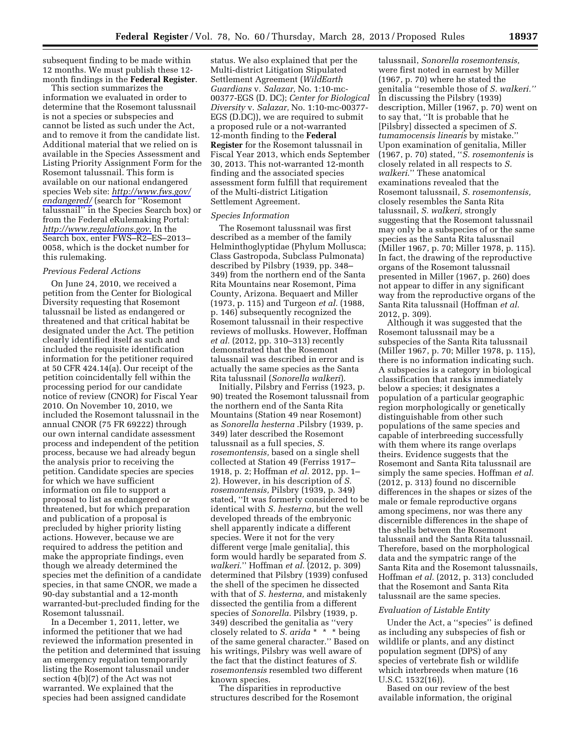subsequent finding to be made within 12 months. We must publish these 12 month findings in the **Federal Register**.

This section summarizes the information we evaluated in order to determine that the Rosemont talussnail is not a species or subspecies and cannot be listed as such under the Act, and to remove it from the candidate list. Additional material that we relied on is available in the Species Assessment and Listing Priority Assignment Form for the Rosemont talussnail. This form is available on our national endangered species Web site: *[http://www.fws.gov/](http://www.fws.gov/endangered/) [endangered/](http://www.fws.gov/endangered/)* (search for ''Rosemont talussnail'' in the Species Search box) or from the Federal eRulemaking Portal: *<http://www.regulations.gov>*. In the Search box, enter FWS–R2–ES–2013– 0058, which is the docket number for this rulemaking.

#### *Previous Federal Actions*

On June 24, 2010, we received a petition from the Center for Biological Diversity requesting that Rosemont talussnail be listed as endangered or threatened and that critical habitat be designated under the Act. The petition clearly identified itself as such and included the requisite identification information for the petitioner required at 50 CFR 424.14(a). Our receipt of the petition coincidentally fell within the processing period for our candidate notice of review (CNOR) for Fiscal Year 2010. On November 10, 2010, we included the Rosemont talussnail in the annual CNOR (75 FR 69222) through our own internal candidate assessment process and independent of the petition process, because we had already begun the analysis prior to receiving the petition. Candidate species are species for which we have sufficient information on file to support a proposal to list as endangered or threatened, but for which preparation and publication of a proposal is precluded by higher priority listing actions. However, because we are required to address the petition and make the appropriate findings, even though we already determined the species met the definition of a candidate species, in that same CNOR, we made a 90-day substantial and a 12-month warranted-but-precluded finding for the Rosemont talussnail.

In a December 1, 2011, letter, we informed the petitioner that we had reviewed the information presented in the petition and determined that issuing an emergency regulation temporarily listing the Rosemont talussnail under section 4(b)(7) of the Act was not warranted. We explained that the species had been assigned candidate

status. We also explained that per the Multi-district Litigation Stipulated Settlement Agreement (*WildEarth Guardians* v. *Salazar,* No. 1:10-mc-00377-EGS (D. DC); *Center for Biological Diversity* v. *Salazar,* No. 1:10-mc-00377- EGS (D.DC)), we are required to submit a proposed rule or a not-warranted 12-month finding to the **Federal Register** for the Rosemont talussnail in Fiscal Year 2013, which ends September 30, 2013. This not-warranted 12-month finding and the associated species assessment form fulfill that requirement of the Multi-district Litigation Settlement Agreement.

#### *Species Information*

The Rosemont talussnail was first described as a member of the family Helminthoglyptidae (Phylum Mollusca; Class Gastropoda, Subclass Pulmonata) described by Pilsbry (1939, pp. 348– 349) from the northern end of the Santa Rita Mountains near Rosemont, Pima County, Arizona. Bequaert and Miller (1973, p. 115) and Turgeon *et al.* (1988, p. 146) subsequently recognized the Rosemont talussnail in their respective reviews of mollusks. However, Hoffman *et al.* (2012, pp. 310–313) recently demonstrated that the Rosemont talussnail was described in error and is actually the same species as the Santa Rita talussnail (*Sonorella walkeri*).

Initially, Pilsbry and Ferriss (1923, p. 90) treated the Rosemont talussnail from the northern end of the Santa Rita Mountains (Station 49 near Rosemont) as *Sonorella hesterna* .Pilsbry (1939, p. 349) later described the Rosemont talussnail as a full species, *S. rosemontensis,* based on a single shell collected at Station 49 (Ferriss 1917– 1918, p. 2; Hoffman *et al.* 2012, pp. 1– 2). However, in his description of *S. rosemontensis,* Pilsbry (1939, p. 349) stated, ''It was formerly considered to be identical with *S. hesterna,* but the well developed threads of the embryonic shell apparently indicate a different species. Were it not for the very different verge [male genitalia], this form would hardly be separated from *S. walkeri*.'' Hoffman *et al.* (2012, p. 309) determined that Pilsbry (1939) confused the shell of the specimen he dissected with that of *S. hesterna,* and mistakenly dissected the gentilia from a different species of *Sonorella.* Pilsbry (1939, p. 349) described the genitalia as ''very closely related to *S. arida* \* \* \* being of the same general character.'' Based on his writings, Pilsbry was well aware of the fact that the distinct features of *S. rosemontensis* resembled two different known species.

The disparities in reproductive structures described for the Rosemont

talussnail, *Sonorella rosemontensis,*  were first noted in earnest by Miller (1967, p. 70) where he stated the genitalia ''resemble those of *S. walkeri.''*  In discussing the Pilsbry (1939) description, Miller (1967, p. 70) went on to say that, ''It is probable that he [Pilsbry] dissected a specimen of *S. tumamocensis linearis* by mistake.'' Upon examination of genitalia, Miller (1967, p. 70) stated, ''*S. rosemontenis* is closely related in all respects to *S. walkeri*.'' These anatomical examinations revealed that the Rosemont talussnail, *S. rosemontensis,*  closely resembles the Santa Rita talussnail, *S. walkeri,* strongly suggesting that the Rosemont talussnail may only be a subspecies of or the same species as the Santa Rita talussnail (Miller 1967, p. 70; Miller 1978, p. 115). In fact, the drawing of the reproductive organs of the Rosemont talussnail presented in Miller (1967, p. 260) does not appear to differ in any significant way from the reproductive organs of the Santa Rita talussnail (Hoffman *et al.*  2012, p. 309).

Although it was suggested that the Rosemont talussnail may be a subspecies of the Santa Rita talussnail (Miller 1967, p. 70; Miller 1978, p. 115), there is no information indicating such. A subspecies is a category in biological classification that ranks immediately below a species; it designates a population of a particular geographic region morphologically or genetically distinguishable from other such populations of the same species and capable of interbreeding successfully with them where its range overlaps theirs. Evidence suggests that the Rosemont and Santa Rita talussnail are simply the same species. Hoffman *et al.*  (2012, p. 313) found no discernible differences in the shapes or sizes of the male or female reproductive organs among specimens, nor was there any discernible differences in the shape of the shells between the Rosemont talussnail and the Santa Rita talussnail. Therefore, based on the morphological data and the sympatric range of the Santa Rita and the Rosemont talussnails, Hoffman *et al.* (2012, p. 313) concluded that the Rosemont and Santa Rita talussnail are the same species.

#### *Evaluation of Listable Entity*

Under the Act, a ''species'' is defined as including any subspecies of fish or wildlife or plants, and any distinct population segment (DPS) of any species of vertebrate fish or wildlife which interbreeds when mature (16 U.S.C. 1532(16)).

Based on our review of the best available information, the original